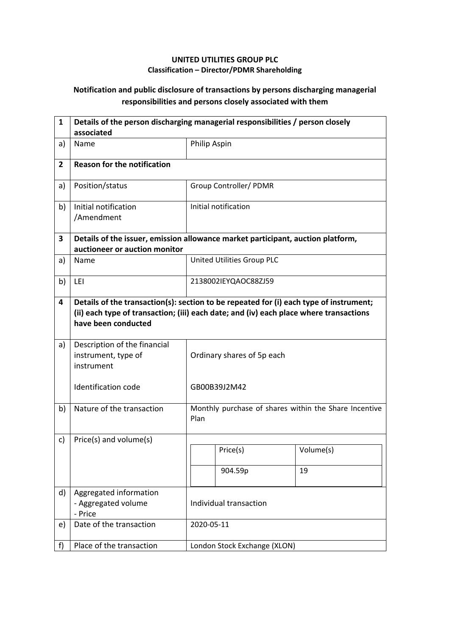## **UNITED UTILITIES GROUP PLC Classification – Director/PDMR Shareholding**

## **Notification and public disclosure of transactions by persons discharging managerial responsibilities and persons closely associated with them**

| $\mathbf{1}$   | Details of the person discharging managerial responsibilities / person closely<br>associated                                                                                                            |                            |                              |                                                       |  |
|----------------|---------------------------------------------------------------------------------------------------------------------------------------------------------------------------------------------------------|----------------------------|------------------------------|-------------------------------------------------------|--|
| a)             | Name                                                                                                                                                                                                    | Philip Aspin               |                              |                                                       |  |
| $\overline{2}$ | <b>Reason for the notification</b>                                                                                                                                                                      |                            |                              |                                                       |  |
| a)             | Position/status                                                                                                                                                                                         |                            | Group Controller/ PDMR       |                                                       |  |
| b)             | Initial notification<br>/Amendment                                                                                                                                                                      |                            | Initial notification         |                                                       |  |
| 3              | Details of the issuer, emission allowance market participant, auction platform,<br>auctioneer or auction monitor                                                                                        |                            |                              |                                                       |  |
| a)             | Name                                                                                                                                                                                                    |                            | United Utilities Group PLC   |                                                       |  |
| b)             | LEI                                                                                                                                                                                                     | 2138002IEYQAOC88ZJ59       |                              |                                                       |  |
| 4              | Details of the transaction(s): section to be repeated for (i) each type of instrument;<br>(ii) each type of transaction; (iii) each date; and (iv) each place where transactions<br>have been conducted |                            |                              |                                                       |  |
| a)             | Description of the financial<br>instrument, type of<br>instrument                                                                                                                                       | Ordinary shares of 5p each |                              |                                                       |  |
|                | <b>Identification code</b>                                                                                                                                                                              |                            | GB00B39J2M42                 |                                                       |  |
| b)             | Nature of the transaction                                                                                                                                                                               | Plan                       |                              | Monthly purchase of shares within the Share Incentive |  |
| c)             | Price(s) and volume(s)                                                                                                                                                                                  |                            |                              |                                                       |  |
|                |                                                                                                                                                                                                         |                            | Price(s)                     | Volume(s)                                             |  |
|                |                                                                                                                                                                                                         |                            | 904.59p                      | 19                                                    |  |
| d)             | Aggregated information<br>- Aggregated volume<br>- Price                                                                                                                                                | Individual transaction     |                              |                                                       |  |
| e)             | Date of the transaction                                                                                                                                                                                 |                            | 2020-05-11                   |                                                       |  |
| f)             | Place of the transaction                                                                                                                                                                                |                            | London Stock Exchange (XLON) |                                                       |  |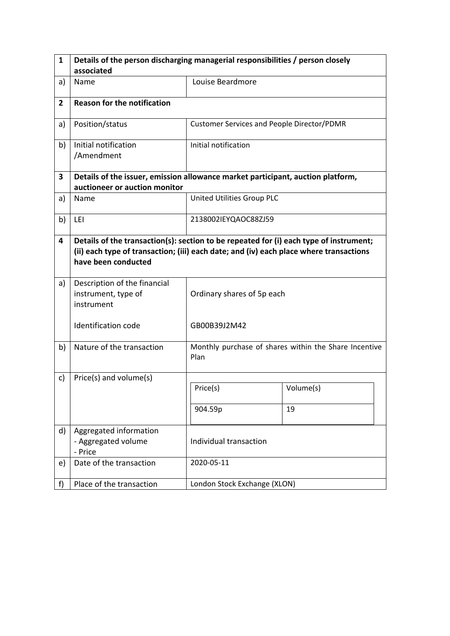| $\mathbf{1}$   | Details of the person discharging managerial responsibilities / person closely                                                                                                                          |                                            |                                                       |  |  |  |
|----------------|---------------------------------------------------------------------------------------------------------------------------------------------------------------------------------------------------------|--------------------------------------------|-------------------------------------------------------|--|--|--|
|                | associated                                                                                                                                                                                              |                                            |                                                       |  |  |  |
| a)             | Name                                                                                                                                                                                                    | Louise Beardmore                           |                                                       |  |  |  |
| $\overline{2}$ | <b>Reason for the notification</b>                                                                                                                                                                      |                                            |                                                       |  |  |  |
| a)             | Position/status                                                                                                                                                                                         | Customer Services and People Director/PDMR |                                                       |  |  |  |
| b)             | Initial notification<br>/Amendment                                                                                                                                                                      | Initial notification                       |                                                       |  |  |  |
| 3              | Details of the issuer, emission allowance market participant, auction platform,                                                                                                                         |                                            |                                                       |  |  |  |
|                | auctioneer or auction monitor                                                                                                                                                                           |                                            |                                                       |  |  |  |
| a)             | Name                                                                                                                                                                                                    | United Utilities Group PLC                 |                                                       |  |  |  |
| b)             | LEI                                                                                                                                                                                                     | 2138002IEYQAOC88ZJ59                       |                                                       |  |  |  |
| 4              | Details of the transaction(s): section to be repeated for (i) each type of instrument;<br>(ii) each type of transaction; (iii) each date; and (iv) each place where transactions<br>have been conducted |                                            |                                                       |  |  |  |
| a)             | Description of the financial<br>instrument, type of<br>instrument                                                                                                                                       | Ordinary shares of 5p each                 |                                                       |  |  |  |
|                | Identification code                                                                                                                                                                                     | GB00B39J2M42                               |                                                       |  |  |  |
| b)             | Nature of the transaction                                                                                                                                                                               | Plan                                       | Monthly purchase of shares within the Share Incentive |  |  |  |
| c)             | Price(s) and volume(s)                                                                                                                                                                                  |                                            |                                                       |  |  |  |
|                |                                                                                                                                                                                                         | Price(s)                                   | Volume(s)                                             |  |  |  |
|                |                                                                                                                                                                                                         | 904.59p                                    | 19                                                    |  |  |  |
| d)             | Aggregated information<br>- Aggregated volume<br>- Price                                                                                                                                                | Individual transaction                     |                                                       |  |  |  |
| e)             | Date of the transaction                                                                                                                                                                                 | 2020-05-11                                 |                                                       |  |  |  |
| f              | Place of the transaction                                                                                                                                                                                | London Stock Exchange (XLON)               |                                                       |  |  |  |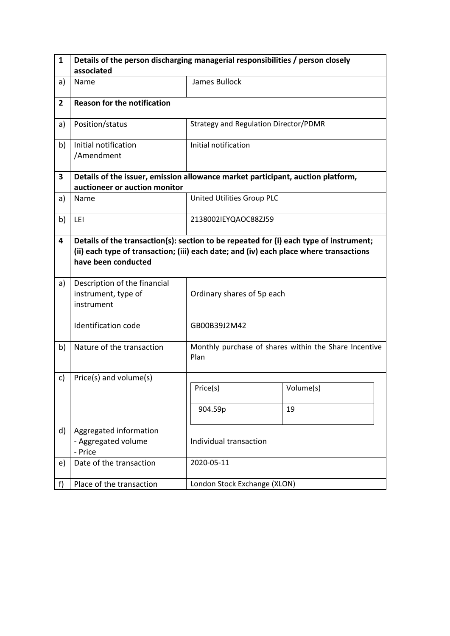| $\mathbf{1}$   | Details of the person discharging managerial responsibilities / person closely                                                                                                                          |                                       |                                                       |  |  |  |
|----------------|---------------------------------------------------------------------------------------------------------------------------------------------------------------------------------------------------------|---------------------------------------|-------------------------------------------------------|--|--|--|
|                | associated                                                                                                                                                                                              |                                       |                                                       |  |  |  |
| a)             | Name                                                                                                                                                                                                    | James Bullock                         |                                                       |  |  |  |
| $\overline{2}$ | <b>Reason for the notification</b>                                                                                                                                                                      |                                       |                                                       |  |  |  |
| a)             | Position/status                                                                                                                                                                                         | Strategy and Regulation Director/PDMR |                                                       |  |  |  |
| b)             | Initial notification<br>/Amendment                                                                                                                                                                      | Initial notification                  |                                                       |  |  |  |
| 3              | Details of the issuer, emission allowance market participant, auction platform,                                                                                                                         |                                       |                                                       |  |  |  |
|                | auctioneer or auction monitor                                                                                                                                                                           |                                       |                                                       |  |  |  |
| a)             | Name                                                                                                                                                                                                    | United Utilities Group PLC            |                                                       |  |  |  |
| b)             | LEI                                                                                                                                                                                                     | 2138002IEYQAOC88ZJ59                  |                                                       |  |  |  |
| 4              | Details of the transaction(s): section to be repeated for (i) each type of instrument;<br>(ii) each type of transaction; (iii) each date; and (iv) each place where transactions<br>have been conducted |                                       |                                                       |  |  |  |
| a)             | Description of the financial<br>instrument, type of<br>instrument                                                                                                                                       | Ordinary shares of 5p each            |                                                       |  |  |  |
|                | Identification code                                                                                                                                                                                     | GB00B39J2M42                          |                                                       |  |  |  |
| b)             | Nature of the transaction                                                                                                                                                                               | Plan                                  | Monthly purchase of shares within the Share Incentive |  |  |  |
| c)             | Price(s) and volume(s)                                                                                                                                                                                  |                                       |                                                       |  |  |  |
|                |                                                                                                                                                                                                         | Price(s)                              | Volume(s)                                             |  |  |  |
|                |                                                                                                                                                                                                         | 904.59p                               | 19                                                    |  |  |  |
| d)             | Aggregated information<br>- Aggregated volume<br>- Price                                                                                                                                                | Individual transaction                |                                                       |  |  |  |
| e)             | Date of the transaction                                                                                                                                                                                 | 2020-05-11                            |                                                       |  |  |  |
| f)             | Place of the transaction                                                                                                                                                                                | London Stock Exchange (XLON)          |                                                       |  |  |  |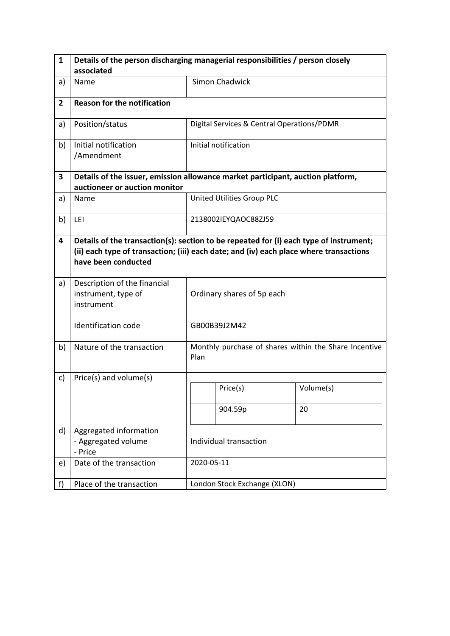| $\mathbf{1}$   | Details of the person discharging managerial responsibilities / person closely                                                                                                                          |                            |                                            |                                                       |  |
|----------------|---------------------------------------------------------------------------------------------------------------------------------------------------------------------------------------------------------|----------------------------|--------------------------------------------|-------------------------------------------------------|--|
|                | associated                                                                                                                                                                                              |                            |                                            |                                                       |  |
| a)             | Name                                                                                                                                                                                                    |                            | <b>Simon Chadwick</b>                      |                                                       |  |
| $\overline{2}$ | <b>Reason for the notification</b>                                                                                                                                                                      |                            |                                            |                                                       |  |
| a)             | Position/status                                                                                                                                                                                         |                            | Digital Services & Central Operations/PDMR |                                                       |  |
| b)             | Initial notification<br>/Amendment                                                                                                                                                                      |                            | Initial notification                       |                                                       |  |
| 3              | Details of the issuer, emission allowance market participant, auction platform,                                                                                                                         |                            |                                            |                                                       |  |
|                | auctioneer or auction monitor                                                                                                                                                                           |                            |                                            |                                                       |  |
| a)             | Name                                                                                                                                                                                                    |                            | United Utilities Group PLC                 |                                                       |  |
| b)             | LEI                                                                                                                                                                                                     |                            | 2138002IEYQAOC88ZJ59                       |                                                       |  |
| 4              | Details of the transaction(s): section to be repeated for (i) each type of instrument;<br>(ii) each type of transaction; (iii) each date; and (iv) each place where transactions<br>have been conducted |                            |                                            |                                                       |  |
| a)             | Description of the financial<br>instrument, type of<br>instrument                                                                                                                                       | Ordinary shares of 5p each |                                            |                                                       |  |
|                | Identification code                                                                                                                                                                                     |                            | GB00B39J2M42                               |                                                       |  |
| b)             | Nature of the transaction                                                                                                                                                                               | Plan                       |                                            | Monthly purchase of shares within the Share Incentive |  |
| c)             | Price(s) and volume(s)                                                                                                                                                                                  |                            |                                            |                                                       |  |
|                |                                                                                                                                                                                                         |                            | Price(s)                                   | Volume(s)                                             |  |
|                |                                                                                                                                                                                                         |                            | 904.59p                                    | 20                                                    |  |
| d)             | Aggregated information<br>- Aggregated volume<br>- Price                                                                                                                                                | Individual transaction     |                                            |                                                       |  |
| e)             | Date of the transaction                                                                                                                                                                                 |                            | 2020-05-11                                 |                                                       |  |
| f              | Place of the transaction                                                                                                                                                                                |                            | London Stock Exchange (XLON)               |                                                       |  |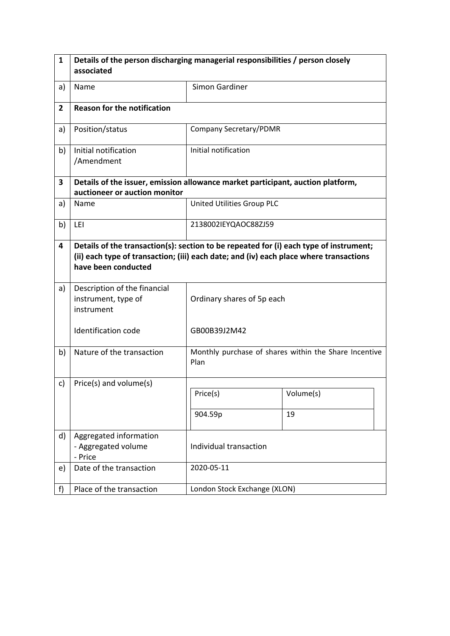| 1              | Details of the person discharging managerial responsibilities / person closely<br>associated                                                                                                            |                               |                                                       |  |  |
|----------------|---------------------------------------------------------------------------------------------------------------------------------------------------------------------------------------------------------|-------------------------------|-------------------------------------------------------|--|--|
| a)             | Name                                                                                                                                                                                                    | Simon Gardiner                |                                                       |  |  |
| $\overline{2}$ | <b>Reason for the notification</b>                                                                                                                                                                      |                               |                                                       |  |  |
| a)             | Position/status                                                                                                                                                                                         | <b>Company Secretary/PDMR</b> |                                                       |  |  |
| b)             | Initial notification<br>/Amendment                                                                                                                                                                      | Initial notification          |                                                       |  |  |
| 3              | Details of the issuer, emission allowance market participant, auction platform,<br>auctioneer or auction monitor                                                                                        |                               |                                                       |  |  |
| a)             | Name                                                                                                                                                                                                    | United Utilities Group PLC    |                                                       |  |  |
| b)             | LEI                                                                                                                                                                                                     | 2138002IEYQAOC88ZJ59          |                                                       |  |  |
| 4              | Details of the transaction(s): section to be repeated for (i) each type of instrument;<br>(ii) each type of transaction; (iii) each date; and (iv) each place where transactions<br>have been conducted |                               |                                                       |  |  |
| a)             | Description of the financial<br>instrument, type of<br>instrument                                                                                                                                       | Ordinary shares of 5p each    |                                                       |  |  |
|                | <b>Identification code</b>                                                                                                                                                                              | GB00B39J2M42                  |                                                       |  |  |
| b)             | Nature of the transaction                                                                                                                                                                               | Plan                          | Monthly purchase of shares within the Share Incentive |  |  |
| c)             | Price(s) and volume(s)                                                                                                                                                                                  |                               |                                                       |  |  |
|                |                                                                                                                                                                                                         | Price(s)                      | Volume(s)                                             |  |  |
|                |                                                                                                                                                                                                         | 904.59p                       | 19                                                    |  |  |
| d)             | Aggregated information<br>- Aggregated volume<br>- Price                                                                                                                                                | Individual transaction        |                                                       |  |  |
| e)             | Date of the transaction                                                                                                                                                                                 | 2020-05-11                    |                                                       |  |  |
| f)             | Place of the transaction                                                                                                                                                                                | London Stock Exchange (XLON)  |                                                       |  |  |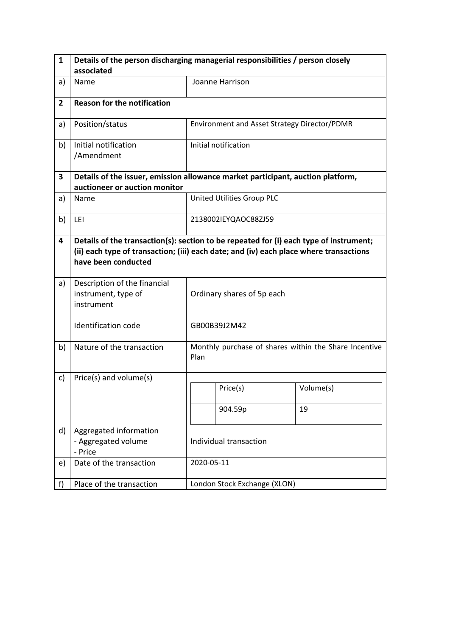| 1              | Details of the person discharging managerial responsibilities / person closely                                                                                                                          |                        |                                              |                                                       |  |
|----------------|---------------------------------------------------------------------------------------------------------------------------------------------------------------------------------------------------------|------------------------|----------------------------------------------|-------------------------------------------------------|--|
|                | associated                                                                                                                                                                                              |                        |                                              |                                                       |  |
| a)             | Name                                                                                                                                                                                                    |                        | Joanne Harrison                              |                                                       |  |
| $\overline{2}$ | <b>Reason for the notification</b>                                                                                                                                                                      |                        |                                              |                                                       |  |
| a)             | Position/status                                                                                                                                                                                         |                        | Environment and Asset Strategy Director/PDMR |                                                       |  |
| b)             | Initial notification<br>/Amendment                                                                                                                                                                      |                        | Initial notification                         |                                                       |  |
| 3              | Details of the issuer, emission allowance market participant, auction platform,                                                                                                                         |                        |                                              |                                                       |  |
|                | auctioneer or auction monitor                                                                                                                                                                           |                        |                                              |                                                       |  |
| a)             | Name                                                                                                                                                                                                    |                        | United Utilities Group PLC                   |                                                       |  |
| b)             | LEI                                                                                                                                                                                                     |                        | 2138002IEYQAOC88ZJ59                         |                                                       |  |
| 4              | Details of the transaction(s): section to be repeated for (i) each type of instrument;<br>(ii) each type of transaction; (iii) each date; and (iv) each place where transactions<br>have been conducted |                        |                                              |                                                       |  |
| a)             | Description of the financial<br>instrument, type of<br>instrument                                                                                                                                       |                        | Ordinary shares of 5p each                   |                                                       |  |
|                | <b>Identification code</b>                                                                                                                                                                              |                        | GB00B39J2M42                                 |                                                       |  |
| b)             | Nature of the transaction                                                                                                                                                                               | Plan                   |                                              | Monthly purchase of shares within the Share Incentive |  |
| c)             | Price(s) and volume(s)                                                                                                                                                                                  |                        |                                              |                                                       |  |
|                |                                                                                                                                                                                                         |                        | Price(s)                                     | Volume(s)                                             |  |
|                |                                                                                                                                                                                                         |                        | 904.59p                                      | 19                                                    |  |
| d)             | Aggregated information<br>- Aggregated volume<br>- Price                                                                                                                                                | Individual transaction |                                              |                                                       |  |
| e)             | Date of the transaction                                                                                                                                                                                 |                        | 2020-05-11                                   |                                                       |  |
| f)             | Place of the transaction                                                                                                                                                                                |                        | London Stock Exchange (XLON)                 |                                                       |  |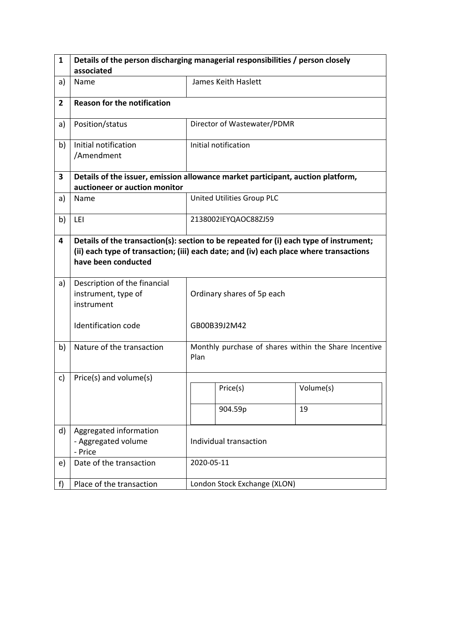| 1              | Details of the person discharging managerial responsibilities / person closely                                                                                                                          |                            |                                                       |           |  |
|----------------|---------------------------------------------------------------------------------------------------------------------------------------------------------------------------------------------------------|----------------------------|-------------------------------------------------------|-----------|--|
|                | associated                                                                                                                                                                                              |                            |                                                       |           |  |
| a)             | Name                                                                                                                                                                                                    |                            | James Keith Haslett                                   |           |  |
| $\overline{2}$ | <b>Reason for the notification</b>                                                                                                                                                                      |                            |                                                       |           |  |
| a)             | Position/status                                                                                                                                                                                         |                            | Director of Wastewater/PDMR                           |           |  |
| b)             | Initial notification<br>/Amendment                                                                                                                                                                      |                            | Initial notification                                  |           |  |
| 3              | Details of the issuer, emission allowance market participant, auction platform,                                                                                                                         |                            |                                                       |           |  |
|                | auctioneer or auction monitor                                                                                                                                                                           |                            |                                                       |           |  |
| a)             | Name                                                                                                                                                                                                    |                            | United Utilities Group PLC                            |           |  |
| b)             | LEI                                                                                                                                                                                                     |                            | 2138002IEYQAOC88ZJ59                                  |           |  |
| 4              | Details of the transaction(s): section to be repeated for (i) each type of instrument;<br>(ii) each type of transaction; (iii) each date; and (iv) each place where transactions<br>have been conducted |                            |                                                       |           |  |
| a)             | Description of the financial<br>instrument, type of<br>instrument                                                                                                                                       | Ordinary shares of 5p each |                                                       |           |  |
|                | <b>Identification code</b>                                                                                                                                                                              |                            | GB00B39J2M42                                          |           |  |
| b)             | Nature of the transaction                                                                                                                                                                               | Plan                       | Monthly purchase of shares within the Share Incentive |           |  |
| c)             | Price(s) and volume(s)                                                                                                                                                                                  |                            |                                                       |           |  |
|                |                                                                                                                                                                                                         |                            | Price(s)                                              | Volume(s) |  |
|                |                                                                                                                                                                                                         |                            | 904.59p                                               | 19        |  |
| d)             | Aggregated information<br>- Aggregated volume<br>- Price                                                                                                                                                | Individual transaction     |                                                       |           |  |
| e)             | Date of the transaction                                                                                                                                                                                 |                            | 2020-05-11                                            |           |  |
| f)             | Place of the transaction                                                                                                                                                                                |                            | London Stock Exchange (XLON)                          |           |  |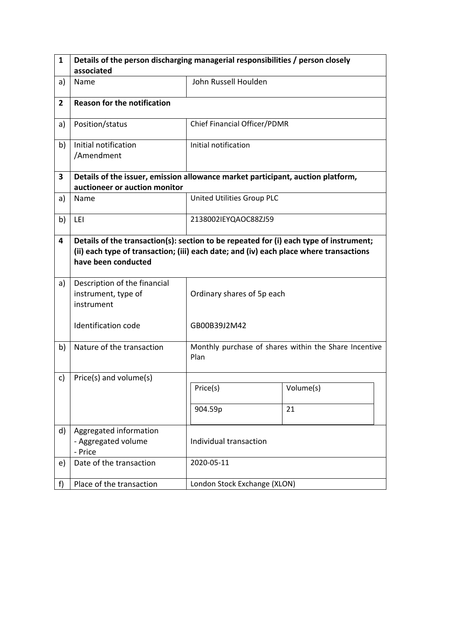| $\mathbf{1}$   | Details of the person discharging managerial responsibilities / person closely                                                                                                                          |                              |                                                       |  |  |  |
|----------------|---------------------------------------------------------------------------------------------------------------------------------------------------------------------------------------------------------|------------------------------|-------------------------------------------------------|--|--|--|
|                | associated                                                                                                                                                                                              |                              |                                                       |  |  |  |
| a)             | Name                                                                                                                                                                                                    | John Russell Houlden         |                                                       |  |  |  |
| $\overline{2}$ | <b>Reason for the notification</b>                                                                                                                                                                      |                              |                                                       |  |  |  |
| a)             | Position/status                                                                                                                                                                                         | Chief Financial Officer/PDMR |                                                       |  |  |  |
| b)             | Initial notification<br>/Amendment                                                                                                                                                                      | Initial notification         |                                                       |  |  |  |
| 3              | Details of the issuer, emission allowance market participant, auction platform,                                                                                                                         |                              |                                                       |  |  |  |
|                | auctioneer or auction monitor                                                                                                                                                                           |                              |                                                       |  |  |  |
| a)             | Name                                                                                                                                                                                                    | United Utilities Group PLC   |                                                       |  |  |  |
| b)             | LEI                                                                                                                                                                                                     | 2138002IEYQAOC88ZJ59         |                                                       |  |  |  |
| 4              | Details of the transaction(s): section to be repeated for (i) each type of instrument;<br>(ii) each type of transaction; (iii) each date; and (iv) each place where transactions<br>have been conducted |                              |                                                       |  |  |  |
| a)             | Description of the financial<br>instrument, type of<br>instrument                                                                                                                                       | Ordinary shares of 5p each   |                                                       |  |  |  |
|                | Identification code                                                                                                                                                                                     | GB00B39J2M42                 |                                                       |  |  |  |
| b)             | Nature of the transaction                                                                                                                                                                               | Plan                         | Monthly purchase of shares within the Share Incentive |  |  |  |
| c)             | Price(s) and volume(s)                                                                                                                                                                                  |                              |                                                       |  |  |  |
|                |                                                                                                                                                                                                         | Price(s)                     | Volume(s)                                             |  |  |  |
|                |                                                                                                                                                                                                         | 904.59p                      | 21                                                    |  |  |  |
| d)             | Aggregated information<br>- Aggregated volume<br>- Price                                                                                                                                                | Individual transaction       |                                                       |  |  |  |
| e)             | Date of the transaction                                                                                                                                                                                 | 2020-05-11                   |                                                       |  |  |  |
| f              | Place of the transaction                                                                                                                                                                                | London Stock Exchange (XLON) |                                                       |  |  |  |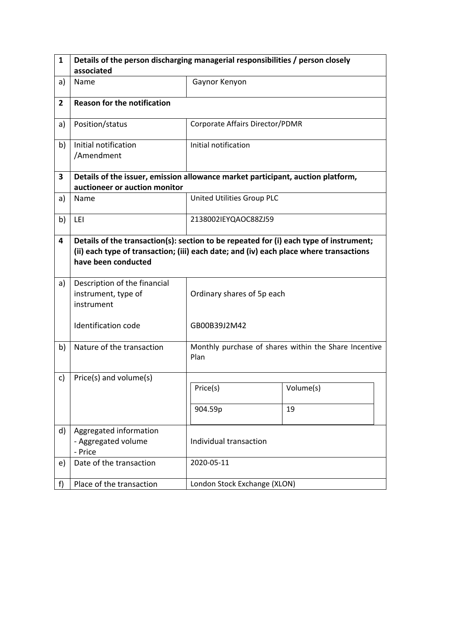| $\mathbf{1}$   | Details of the person discharging managerial responsibilities / person closely                                                                                                                          |                                 |                                                       |  |  |  |
|----------------|---------------------------------------------------------------------------------------------------------------------------------------------------------------------------------------------------------|---------------------------------|-------------------------------------------------------|--|--|--|
|                | associated                                                                                                                                                                                              |                                 |                                                       |  |  |  |
| a)             | Name                                                                                                                                                                                                    | Gaynor Kenyon                   |                                                       |  |  |  |
| $\overline{2}$ | <b>Reason for the notification</b>                                                                                                                                                                      |                                 |                                                       |  |  |  |
| a)             | Position/status                                                                                                                                                                                         | Corporate Affairs Director/PDMR |                                                       |  |  |  |
| b)             | Initial notification<br>/Amendment                                                                                                                                                                      | Initial notification            |                                                       |  |  |  |
| 3              | Details of the issuer, emission allowance market participant, auction platform,                                                                                                                         |                                 |                                                       |  |  |  |
|                | auctioneer or auction monitor                                                                                                                                                                           |                                 |                                                       |  |  |  |
| a)             | Name                                                                                                                                                                                                    | United Utilities Group PLC      |                                                       |  |  |  |
| b)             | LEI                                                                                                                                                                                                     | 2138002IEYQAOC88ZJ59            |                                                       |  |  |  |
| 4              | Details of the transaction(s): section to be repeated for (i) each type of instrument;<br>(ii) each type of transaction; (iii) each date; and (iv) each place where transactions<br>have been conducted |                                 |                                                       |  |  |  |
| a)             | Description of the financial<br>instrument, type of<br>instrument                                                                                                                                       | Ordinary shares of 5p each      |                                                       |  |  |  |
|                | Identification code                                                                                                                                                                                     | GB00B39J2M42                    |                                                       |  |  |  |
| b)             | Nature of the transaction                                                                                                                                                                               | Plan                            | Monthly purchase of shares within the Share Incentive |  |  |  |
| c)             | Price(s) and volume(s)                                                                                                                                                                                  |                                 |                                                       |  |  |  |
|                |                                                                                                                                                                                                         | Price(s)                        | Volume(s)                                             |  |  |  |
|                |                                                                                                                                                                                                         | 904.59p                         | 19                                                    |  |  |  |
| d)             | Aggregated information<br>- Aggregated volume<br>- Price                                                                                                                                                | Individual transaction          |                                                       |  |  |  |
| e)             | Date of the transaction                                                                                                                                                                                 | 2020-05-11                      |                                                       |  |  |  |
| f              | Place of the transaction                                                                                                                                                                                | London Stock Exchange (XLON)    |                                                       |  |  |  |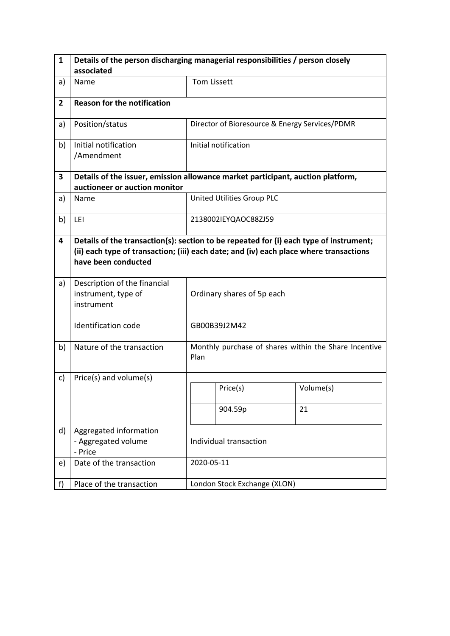| 1              | Details of the person discharging managerial responsibilities / person closely                                                                                                                          |                        |                                                |                                                       |  |
|----------------|---------------------------------------------------------------------------------------------------------------------------------------------------------------------------------------------------------|------------------------|------------------------------------------------|-------------------------------------------------------|--|
|                | associated                                                                                                                                                                                              |                        |                                                |                                                       |  |
| a)             | Name                                                                                                                                                                                                    | <b>Tom Lissett</b>     |                                                |                                                       |  |
| $\overline{2}$ | <b>Reason for the notification</b>                                                                                                                                                                      |                        |                                                |                                                       |  |
| a)             | Position/status                                                                                                                                                                                         |                        | Director of Bioresource & Energy Services/PDMR |                                                       |  |
| b)             | Initial notification<br>/Amendment                                                                                                                                                                      |                        | Initial notification                           |                                                       |  |
| 3              | Details of the issuer, emission allowance market participant, auction platform,                                                                                                                         |                        |                                                |                                                       |  |
|                | auctioneer or auction monitor                                                                                                                                                                           |                        |                                                |                                                       |  |
| a)             | Name                                                                                                                                                                                                    |                        | United Utilities Group PLC                     |                                                       |  |
| b)             | LEI                                                                                                                                                                                                     |                        | 2138002IEYQAOC88ZJ59                           |                                                       |  |
| 4              | Details of the transaction(s): section to be repeated for (i) each type of instrument;<br>(ii) each type of transaction; (iii) each date; and (iv) each place where transactions<br>have been conducted |                        |                                                |                                                       |  |
| a)             | Description of the financial<br>instrument, type of<br>instrument                                                                                                                                       |                        | Ordinary shares of 5p each                     |                                                       |  |
|                | <b>Identification code</b>                                                                                                                                                                              |                        | GB00B39J2M42                                   |                                                       |  |
| b)             | Nature of the transaction                                                                                                                                                                               | Plan                   |                                                | Monthly purchase of shares within the Share Incentive |  |
| c)             | Price(s) and volume(s)                                                                                                                                                                                  |                        |                                                |                                                       |  |
|                |                                                                                                                                                                                                         |                        | Price(s)                                       | Volume(s)                                             |  |
|                |                                                                                                                                                                                                         |                        | 904.59p                                        | 21                                                    |  |
| d)             | Aggregated information<br>- Aggregated volume<br>- Price                                                                                                                                                | Individual transaction |                                                |                                                       |  |
| e)             | Date of the transaction                                                                                                                                                                                 |                        | 2020-05-11                                     |                                                       |  |
| f)             | Place of the transaction                                                                                                                                                                                |                        | London Stock Exchange (XLON)                   |                                                       |  |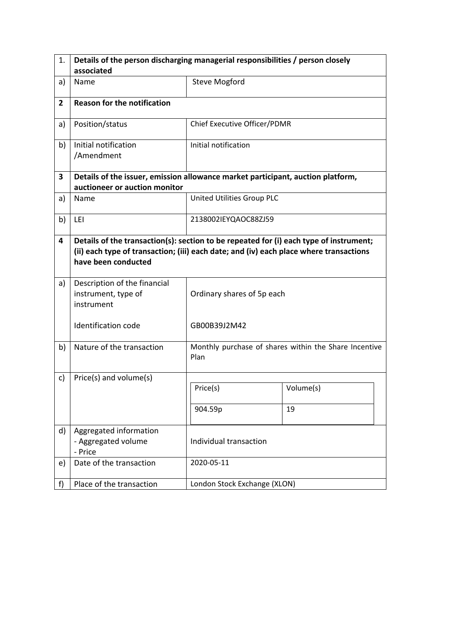| 1.             | Details of the person discharging managerial responsibilities / person closely                                                                                                                          |                              |                                                       |  |  |  |
|----------------|---------------------------------------------------------------------------------------------------------------------------------------------------------------------------------------------------------|------------------------------|-------------------------------------------------------|--|--|--|
|                | associated                                                                                                                                                                                              |                              |                                                       |  |  |  |
| a)             | Name                                                                                                                                                                                                    | <b>Steve Mogford</b>         |                                                       |  |  |  |
| $\overline{2}$ | <b>Reason for the notification</b>                                                                                                                                                                      |                              |                                                       |  |  |  |
| a)             | Position/status                                                                                                                                                                                         | Chief Executive Officer/PDMR |                                                       |  |  |  |
| b)             | Initial notification<br>/Amendment                                                                                                                                                                      | Initial notification         |                                                       |  |  |  |
| 3              | Details of the issuer, emission allowance market participant, auction platform,                                                                                                                         |                              |                                                       |  |  |  |
|                | auctioneer or auction monitor                                                                                                                                                                           |                              |                                                       |  |  |  |
| a)             | Name                                                                                                                                                                                                    | United Utilities Group PLC   |                                                       |  |  |  |
| b)             | LEI                                                                                                                                                                                                     | 2138002IEYQAOC88ZJ59         |                                                       |  |  |  |
| 4              | Details of the transaction(s): section to be repeated for (i) each type of instrument;<br>(ii) each type of transaction; (iii) each date; and (iv) each place where transactions<br>have been conducted |                              |                                                       |  |  |  |
| a)             | Description of the financial<br>instrument, type of<br>instrument                                                                                                                                       | Ordinary shares of 5p each   |                                                       |  |  |  |
|                | Identification code                                                                                                                                                                                     | GB00B39J2M42                 |                                                       |  |  |  |
| b)             | Nature of the transaction                                                                                                                                                                               | Plan                         | Monthly purchase of shares within the Share Incentive |  |  |  |
| c)             | Price(s) and volume(s)                                                                                                                                                                                  |                              |                                                       |  |  |  |
|                |                                                                                                                                                                                                         | Price(s)                     | Volume(s)                                             |  |  |  |
|                |                                                                                                                                                                                                         | 904.59p                      | 19                                                    |  |  |  |
| d)             | Aggregated information<br>- Aggregated volume<br>- Price                                                                                                                                                | Individual transaction       |                                                       |  |  |  |
| e)             | Date of the transaction                                                                                                                                                                                 | 2020-05-11                   |                                                       |  |  |  |
| f              | Place of the transaction                                                                                                                                                                                | London Stock Exchange (XLON) |                                                       |  |  |  |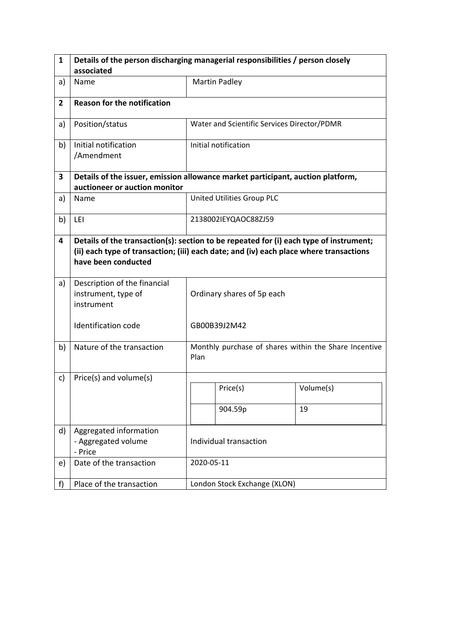| 1              | Details of the person discharging managerial responsibilities / person closely                                                                                                                          |                            |                                                       |           |  |
|----------------|---------------------------------------------------------------------------------------------------------------------------------------------------------------------------------------------------------|----------------------------|-------------------------------------------------------|-----------|--|
|                | associated                                                                                                                                                                                              |                            |                                                       |           |  |
| a)             | Name                                                                                                                                                                                                    |                            | <b>Martin Padley</b>                                  |           |  |
| $\overline{2}$ | <b>Reason for the notification</b>                                                                                                                                                                      |                            |                                                       |           |  |
| a)             | Position/status                                                                                                                                                                                         |                            | Water and Scientific Services Director/PDMR           |           |  |
| b)             | Initial notification<br>/Amendment                                                                                                                                                                      |                            | Initial notification                                  |           |  |
| 3              | Details of the issuer, emission allowance market participant, auction platform,                                                                                                                         |                            |                                                       |           |  |
|                | auctioneer or auction monitor                                                                                                                                                                           |                            |                                                       |           |  |
| a)             | Name                                                                                                                                                                                                    |                            | United Utilities Group PLC                            |           |  |
| b)             | LEI                                                                                                                                                                                                     |                            | 2138002IEYQAOC88ZJ59                                  |           |  |
| 4              | Details of the transaction(s): section to be repeated for (i) each type of instrument;<br>(ii) each type of transaction; (iii) each date; and (iv) each place where transactions<br>have been conducted |                            |                                                       |           |  |
| a)             | Description of the financial<br>instrument, type of<br>instrument                                                                                                                                       | Ordinary shares of 5p each |                                                       |           |  |
|                | <b>Identification code</b>                                                                                                                                                                              |                            | GB00B39J2M42                                          |           |  |
| b)             | Nature of the transaction                                                                                                                                                                               | Plan                       | Monthly purchase of shares within the Share Incentive |           |  |
| c)             | Price(s) and volume(s)                                                                                                                                                                                  |                            |                                                       |           |  |
|                |                                                                                                                                                                                                         |                            | Price(s)                                              | Volume(s) |  |
|                |                                                                                                                                                                                                         |                            | 904.59p                                               | 19        |  |
| d)             | Aggregated information<br>- Aggregated volume<br>- Price                                                                                                                                                | Individual transaction     |                                                       |           |  |
| e)             | Date of the transaction                                                                                                                                                                                 |                            | 2020-05-11                                            |           |  |
| f)             | Place of the transaction                                                                                                                                                                                |                            | London Stock Exchange (XLON)                          |           |  |